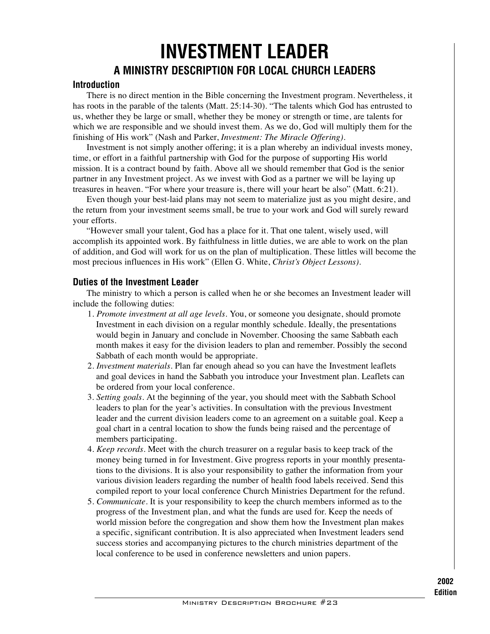## **INVESTMENT LEADER A MINISTRY DESCRIPTION FOR LOCAL CHURCH LEADERS**

## **Introduction**

There is no direct mention in the Bible concerning the Investment program. Nevertheless, it has roots in the parable of the talents (Matt. 25:14-30). "The talents which God has entrusted to us, whether they be large or small, whether they be money or strength or time, are talents for which we are responsible and we should invest them. As we do, God will multiply them for the finishing of His work" (Nash and Parker, *Investment: The Miracle Offering)*.

Investment is not simply another offering; it is a plan whereby an individual invests money, time, or effort in a faithful partnership with God for the purpose of supporting His world mission. It is a contract bound by faith. Above all we should remember that God is the senior partner in any Investment project. As we invest with God as a partner we will be laying up treasures in heaven. "For where your treasure is, there will your heart be also" (Matt. 6:21).

Even though your best-laid plans may not seem to materialize just as you might desire, and the return from your investment seems small, be true to your work and God will surely reward your efforts.

"However small your talent, God has a place for it. That one talent, wisely used, will accomplish its appointed work. By faithfulness in little duties, we are able to work on the plan of addition, and God will work for us on the plan of multiplication. These littles will become the most precious influences in His work" (Ellen G. White, *Christ's Object Lessons).*

## **Duties of the Investment Leader**

The ministry to which a person is called when he or she becomes an Investment leader will include the following duties:

- 1. *Promote investment at all age levels.* You, or someone you designate, should promote Investment in each division on a regular monthly schedule. Ideally, the presentations would begin in January and conclude in November. Choosing the same Sabbath each month makes it easy for the division leaders to plan and remember. Possibly the second Sabbath of each month would be appropriate.
- 2. *Investment materials.* Plan far enough ahead so you can have the Investment leaflets and goal devices in hand the Sabbath you introduce your Investment plan. Leaflets can be ordered from your local conference.
- 3. *Setting goals.* At the beginning of the year, you should meet with the Sabbath School leaders to plan for the year's activities. In consultation with the previous Investment leader and the current division leaders come to an agreement on a suitable goal. Keep a goal chart in a central location to show the funds being raised and the percentage of members participating.
- 4. *Keep records.* Meet with the church treasurer on a regular basis to keep track of the money being turned in for Investment. Give progress reports in your monthly presentations to the divisions. It is also your responsibility to gather the information from your various division leaders regarding the number of health food labels received. Send this compiled report to your local conference Church Ministries Department for the refund.
- 5. *Communicate.* It is your responsibility to keep the church members informed as to the progress of the Investment plan, and what the funds are used for. Keep the needs of world mission before the congregation and show them how the Investment plan makes a specific, significant contribution. It is also appreciated when Investment leaders send success stories and accompanying pictures to the church ministries department of the local conference to be used in conference newsletters and union papers.